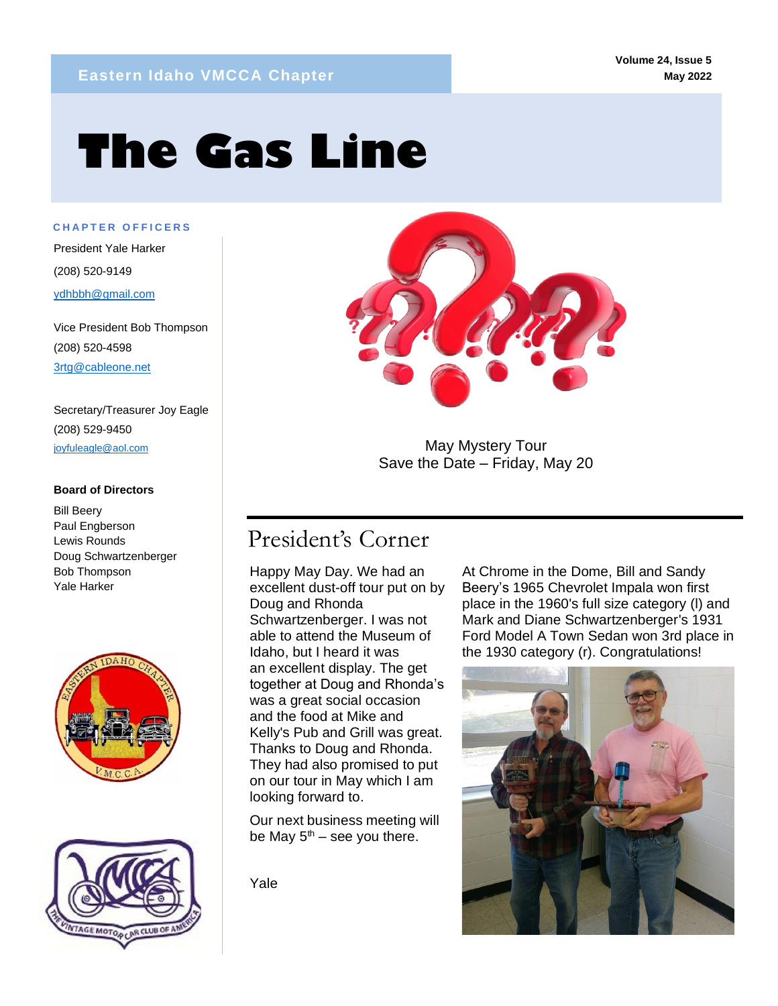# **The Gas Line**

**C H A P T E R O F F I C E R S**

mm

President Yale Harker (208) 520-9149 ydhbbh@gmail.com

Vice President Bob Thompson (208) 520-4598 3rtg@cableone.net

Secretary/Treasurer Joy Eagle (208) 529-9450 joyfuleagle@aol.com

#### **Board of Directors**

Bill Beery Paul Engberson Lewis Rounds Doug Schwartzenberger Bob Thompson Yale Harker







May Mystery Tour Save the Date – Friday, May 20

# President's Corner

Happy May Day. We had an excellent dust-off tour put on by Doug and Rhonda Schwartzenberger. I was not able to attend the Museum of Idaho, but I heard it was an excellent display. The get together at Doug and Rhonda's was a great social occasion and the food at Mike and Kelly's Pub and Grill was great. Thanks to Doug and Rhonda. They had also promised to put on our tour in May which I am looking forward to.

Our next business meeting will be May  $5<sup>th</sup>$  – see you there.

Yale

At Chrome in the Dome, Bill and Sandy Beery's 1965 Chevrolet Impala won first place in the 1960's full size category (l) and Mark and Diane Schwartzenberger's 1931 Ford Model A Town Sedan won 3rd place in the 1930 category (r). Congratulations!

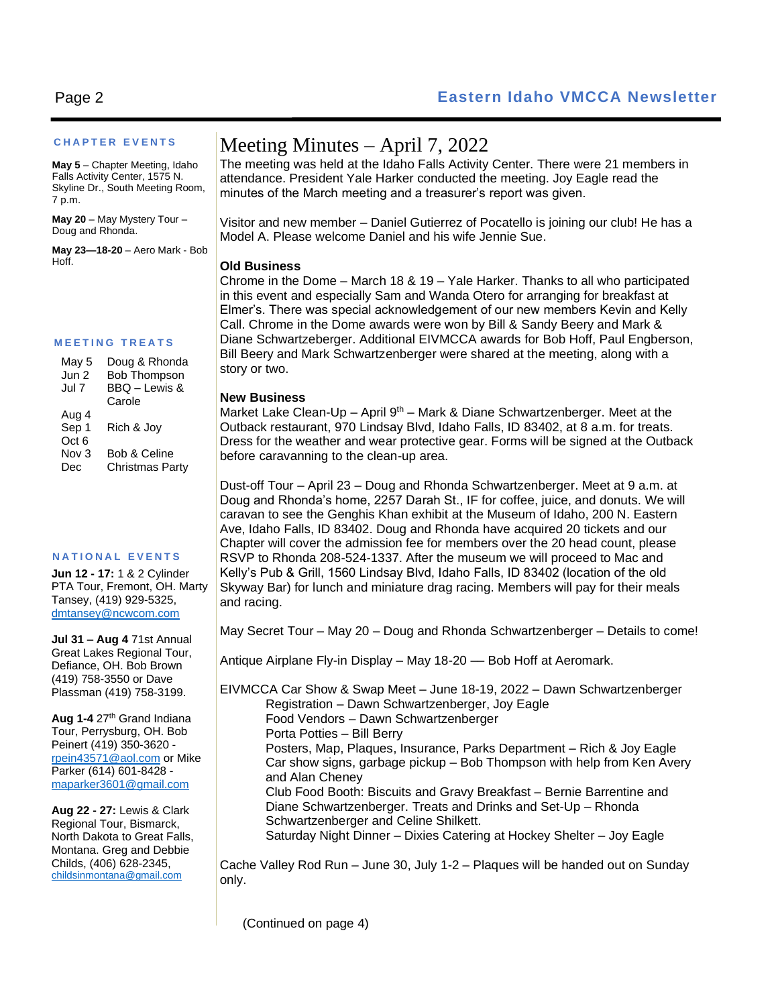#### **C H A P T E R E V E N T S**

**May 5** – Chapter Meeting, Idaho Falls Activity Center, 1575 N. Skyline Dr., South Meeting Room, 7 p.m.

**May 20** – May Mystery Tour – Doug and Rhonda.

**May 23—18-20** – Aero Mark - Bob Hoff.

#### **M E E T I N G T R E A T S**

| May 5            | Doug & Rhonda       |
|------------------|---------------------|
| Jun 2            | <b>Bob Thompson</b> |
| Jul 7            | BBQ - Lewis &       |
|                  | Carole              |
| Aug 4            |                     |
| Sep 1            | Rich & Joy          |
| Oct <sub>6</sub> |                     |
| Nov 3            | Bob & Celine        |
| Dec              | Christmas Party     |
|                  |                     |

#### **N A T I O N A L E V E N T S**

**Jun 12 - 17:** 1 & 2 Cylinder PTA Tour, Fremont, OH. Marty Tansey, (419) 929-5325, [dmtansey@ncwcom.com](mailto:dmtansey@ncwcom.com)

**Jul 31 – Aug 4** 71st Annual Great Lakes Regional Tour, Defiance, OH. Bob Brown (419) 758-3550 or Dave Plassman (419) 758-3199.

Aug 1-4 27<sup>th</sup> Grand Indiana Tour, Perrysburg, OH. Bob Peinert (419) 350-3620 [rpein43571@aol.com](mailto:rpein43571@aol.com) or Mike Parker (614) 601-8428 [maparker3601@gmail.com](mailto:maparker3601@gmail.com)

**Aug 22 - 27:** Lewis & Clark Regional Tour, Bismarck, North Dakota to Great Falls, Montana. Greg and Debbie Childs, (406) 628-2345, [childsinmontana@gmail.com](mailto:childsinmontana@gmail.com)

## Meeting Minutes – April 7, 2022

The meeting was held at the Idaho Falls Activity Center. There were 21 members in attendance. President Yale Harker conducted the meeting. Joy Eagle read the minutes of the March meeting and a treasurer's report was given.

Visitor and new member – Daniel Gutierrez of Pocatello is joining our club! He has a Model A. Please welcome Daniel and his wife Jennie Sue.

#### **Old Business**

Chrome in the Dome – March 18 & 19 – Yale Harker. Thanks to all who participated in this event and especially Sam and Wanda Otero for arranging for breakfast at Elmer's. There was special acknowledgement of our new members Kevin and Kelly Call. Chrome in the Dome awards were won by Bill & Sandy Beery and Mark & Diane Schwartzeberger. Additional EIVMCCA awards for Bob Hoff, Paul Engberson, Bill Beery and Mark Schwartzenberger were shared at the meeting, along with a story or two.

#### **New Business**

Market Lake Clean-Up – April  $9<sup>th</sup>$  – Mark & Diane Schwartzenberger. Meet at the Outback restaurant, 970 Lindsay Blvd, Idaho Falls, ID 83402, at 8 a.m. for treats. Dress for the weather and wear protective gear. Forms will be signed at the Outback before caravanning to the clean-up area.

Dust-off Tour – April 23 – Doug and Rhonda Schwartzenberger. Meet at 9 a.m. at Doug and Rhonda's home, 2257 Darah St., IF for coffee, juice, and donuts. We will caravan to see the Genghis Khan exhibit at the Museum of Idaho, 200 N. Eastern Ave, Idaho Falls, ID 83402. Doug and Rhonda have acquired 20 tickets and our Chapter will cover the admission fee for members over the 20 head count, please RSVP to Rhonda 208-524-1337. After the museum we will proceed to Mac and Kelly's Pub & Grill, 1560 Lindsay Blvd, Idaho Falls, ID 83402 (location of the old Skyway Bar) for lunch and miniature drag racing. Members will pay for their meals and racing.

May Secret Tour – May 20 – Doug and Rhonda Schwartzenberger – Details to come!

Antique Airplane Fly-in Display – May 18-20 - Bob Hoff at Aeromark.

EIVMCCA Car Show & Swap Meet – June 18-19, 2022 – Dawn Schwartzenberger Registration – Dawn Schwartzenberger, Joy Eagle Food Vendors – Dawn Schwartzenberger Porta Potties – Bill Berry Posters, Map, Plaques, Insurance, Parks Department – Rich & Joy Eagle Car show signs, garbage pickup – Bob Thompson with help from Ken Avery and Alan Cheney Club Food Booth: Biscuits and Gravy Breakfast – Bernie Barrentine and Diane Schwartzenberger. Treats and Drinks and Set-Up – Rhonda Schwartzenberger and Celine Shilkett. Saturday Night Dinner – Dixies Catering at Hockey Shelter – Joy Eagle

Cache Valley Rod Run – June 30, July 1-2 – Plaques will be handed out on Sunday only.

(Continued on page 4)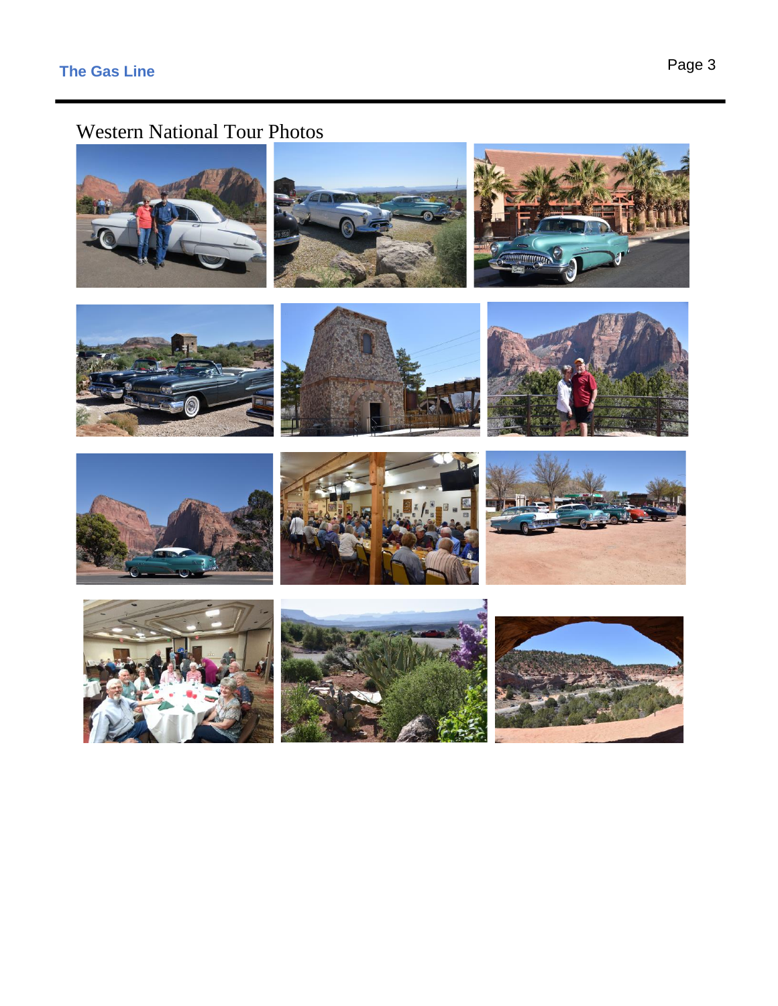# Western National Tour Photos